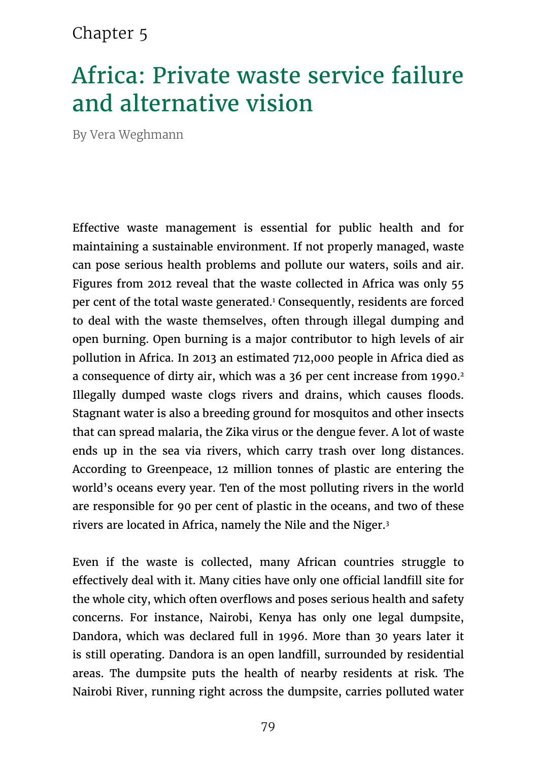#### Chapter 5

# Africa: Private waste service failure and alternative vision

By Vera Weghmann

Effective waste management is essential for public health and for maintaining a sustainable environment. If not properly managed, waste can pose serious health problems and pollute our waters, soils and air. Figures from 2012 reveal that the waste collected in Africa was only 55 per cent of the total waste generated.1 Consequently, residents are forced to deal with the waste themselves, often through illegal dumping and open burning. Open burning is a major contributor to high levels of air pollution in Africa. In 2013 an estimated 712,000 people in Africa died as a consequence of dirty air, which was a 36 per cent increase from 1990.<sup>2</sup> Illegally dumped waste clogs rivers and drains, which causes floods. Stagnant water is also a breeding ground for mosquitos and other insects that can spread malaria, the Zika virus or the dengue fever. A lot of waste ends up in the sea via rivers, which carry trash over long distances. According to Greenpeace, 12 million tonnes of plastic are entering the world's oceans every year. Ten of the most polluting rivers in the world are responsible for 90 per cent of plastic in the oceans, and two of these rivers are located in Africa, namely the Nile and the Niger.3

Even if the waste is collected, many African countries struggle to effectively deal with it. Many cities have only one official landfill site for the whole city, which often overflows and poses serious health and safety concerns. For instance, Nairobi, Kenya has only one legal dumpsite, Dandora, which was declared full in 1996. More than 30 years later it is still operating. Dandora is an open landfill, surrounded by residential areas. The dumpsite puts the health of nearby residents at risk. The Nairobi River, running right across the dumpsite, carries polluted water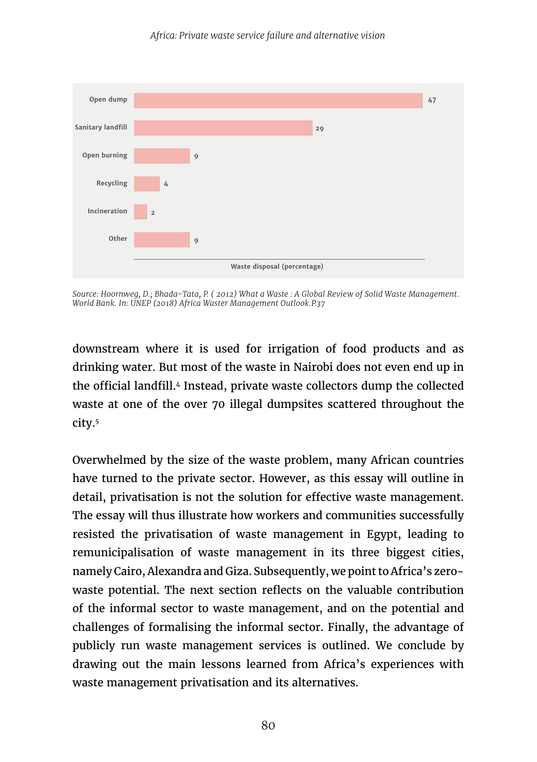

*Source: Hoornweg, D.; Bhada-Tata, P. ( 2012) What a Waste : A Global Review of Solid Waste Management. World Bank. In: UNEP (2018) Africa Waster Management Outlook.P.37*

downstream where it is used for irrigation of food products and as drinking water. But most of the waste in Nairobi does not even end up in the official landfill.4 Instead, private waste collectors dump the collected waste at one of the over 70 illegal dumpsites scattered throughout the city.5

Overwhelmed by the size of the waste problem, many African countries have turned to the private sector. However, as this essay will outline in detail, privatisation is not the solution for effective waste management. The essay will thus illustrate how workers and communities successfully resisted the privatisation of waste management in Egypt, leading to remunicipalisation of waste management in its three biggest cities, namely Cairo, Alexandra and Giza. Subsequently, we point to Africa's zerowaste potential. The next section reflects on the valuable contribution of the informal sector to waste management, and on the potential and challenges of formalising the informal sector. Finally, the advantage of publicly run waste management services is outlined. We conclude by drawing out the main lessons learned from Africa's experiences with waste management privatisation and its alternatives.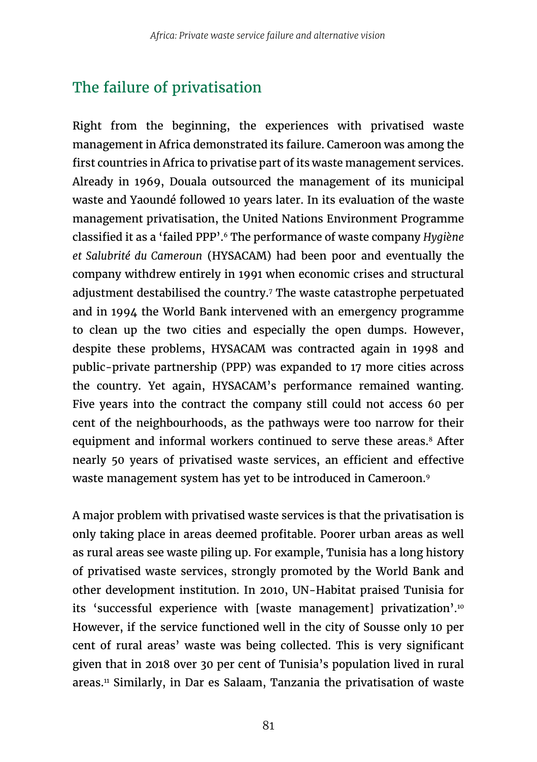## The failure of privatisation

Right from the beginning, the experiences with privatised waste management in Africa demonstrated its failure. Cameroon was among the first countries in Africa to privatise part of its waste management services. Already in 1969, Douala outsourced the management of its municipal waste and Yaoundé followed 10 years later. In its evaluation of the waste management privatisation, the United Nations Environment Programme classified it as a 'failed PPP'.6 The performance of waste company *Hygiène et Salubrité du Cameroun* (HYSACAM) had been poor and eventually the company withdrew entirely in 1991 when economic crises and structural adjustment destabilised the country.7 The waste catastrophe perpetuated and in 1994 the World Bank intervened with an emergency programme to clean up the two cities and especially the open dumps. However, despite these problems, HYSACAM was contracted again in 1998 and public-private partnership (PPP) was expanded to 17 more cities across the country. Yet again, HYSACAM's performance remained wanting. Five years into the contract the company still could not access 60 per cent of the neighbourhoods, as the pathways were too narrow for their equipment and informal workers continued to serve these areas.<sup>8</sup> After nearly 50 years of privatised waste services, an efficient and effective waste management system has yet to be introduced in Cameroon.9

A major problem with privatised waste services is that the privatisation is only taking place in areas deemed profitable. Poorer urban areas as well as rural areas see waste piling up. For example, Tunisia has a long history of privatised waste services, strongly promoted by the World Bank and other development institution. In 2010, UN-Habitat praised Tunisia for its 'successful experience with [waste management] privatization'.<sup>10</sup> However, if the service functioned well in the city of Sousse only 10 per cent of rural areas' waste was being collected. This is very significant given that in 2018 over 30 per cent of Tunisia's population lived in rural areas.11 Similarly, in Dar es Salaam, Tanzania the privatisation of waste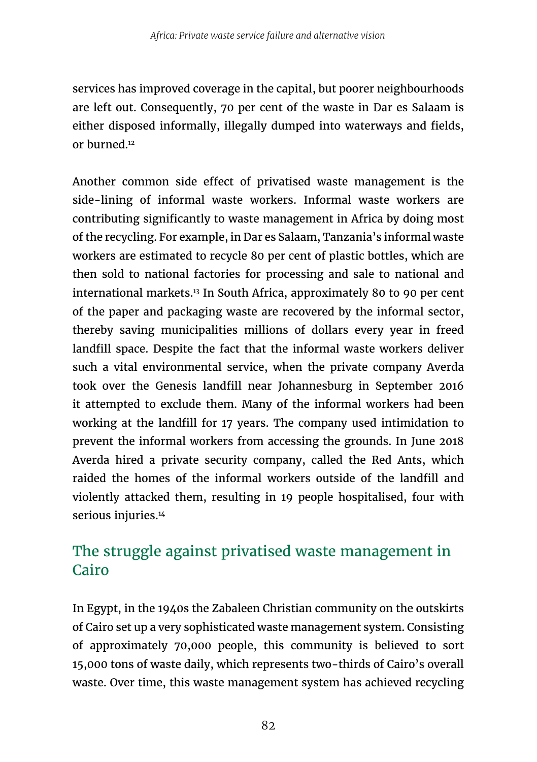services has improved coverage in the capital, but poorer neighbourhoods are left out. Consequently, 70 per cent of the waste in Dar es Salaam is either disposed informally, illegally dumped into waterways and fields, or burned.12

Another common side effect of privatised waste management is the side-lining of informal waste workers. Informal waste workers are contributing significantly to waste management in Africa by doing most of the recycling. For example, in Dar es Salaam, Tanzania's informal waste workers are estimated to recycle 80 per cent of plastic bottles, which are then sold to national factories for processing and sale to national and international markets.13 In South Africa, approximately 80 to 90 per cent of the paper and packaging waste are recovered by the informal sector, thereby saving municipalities millions of dollars every year in freed landfill space. Despite the fact that the informal waste workers deliver such a vital environmental service, when the private company Averda took over the Genesis landfill near Johannesburg in September 2016 it attempted to exclude them. Many of the informal workers had been working at the landfill for 17 years. The company used intimidation to prevent the informal workers from accessing the grounds. In June 2018 Averda hired a private security company, called the Red Ants, which raided the homes of the informal workers outside of the landfill and violently attacked them, resulting in 19 people hospitalised, four with serious injuries.<sup>14</sup>

#### The struggle against privatised waste management in Cairo

In Egypt, in the 1940s the Zabaleen Christian community on the outskirts of Cairo set up a very sophisticated waste management system. Consisting of approximately 70,000 people, this community is believed to sort 15,000 tons of waste daily, which represents two-thirds of Cairo's overall waste. Over time, this waste management system has achieved recycling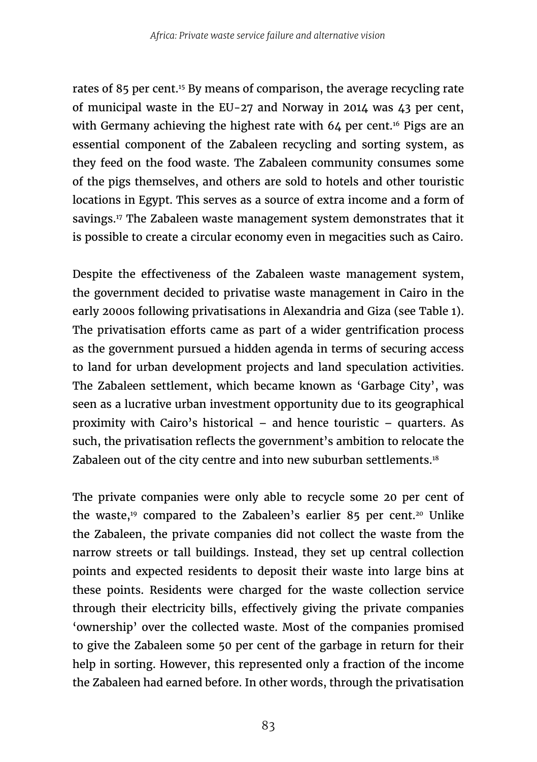rates of 85 per cent.15 By means of comparison, the average recycling rate of municipal waste in the EU-27 and Norway in 2014 was 43 per cent, with Germany achieving the highest rate with  $64$  per cent.<sup>16</sup> Pigs are an essential component of the Zabaleen recycling and sorting system, as they feed on the food waste. The Zabaleen community consumes some of the pigs themselves, and others are sold to hotels and other touristic locations in Egypt. This serves as a source of extra income and a form of savings.<sup>17</sup> The Zabaleen waste management system demonstrates that it is possible to create a circular economy even in megacities such as Cairo.

Despite the effectiveness of the Zabaleen waste management system, the government decided to privatise waste management in Cairo in the early 2000s following privatisations in Alexandria and Giza (see Table 1). The privatisation efforts came as part of a wider gentrification process as the government pursued a hidden agenda in terms of securing access to land for urban development projects and land speculation activities. The Zabaleen settlement, which became known as 'Garbage City', was seen as a lucrative urban investment opportunity due to its geographical proximity with Cairo's historical – and hence touristic – quarters. As such, the privatisation reflects the government's ambition to relocate the Zabaleen out of the city centre and into new suburban settlements.<sup>18</sup>

The private companies were only able to recycle some 20 per cent of the waste,<sup>19</sup> compared to the Zabaleen's earlier 85 per cent.<sup>20</sup> Unlike the Zabaleen, the private companies did not collect the waste from the narrow streets or tall buildings. Instead, they set up central collection points and expected residents to deposit their waste into large bins at these points. Residents were charged for the waste collection service through their electricity bills, effectively giving the private companies 'ownership' over the collected waste. Most of the companies promised to give the Zabaleen some 50 per cent of the garbage in return for their help in sorting. However, this represented only a fraction of the income the Zabaleen had earned before. In other words, through the privatisation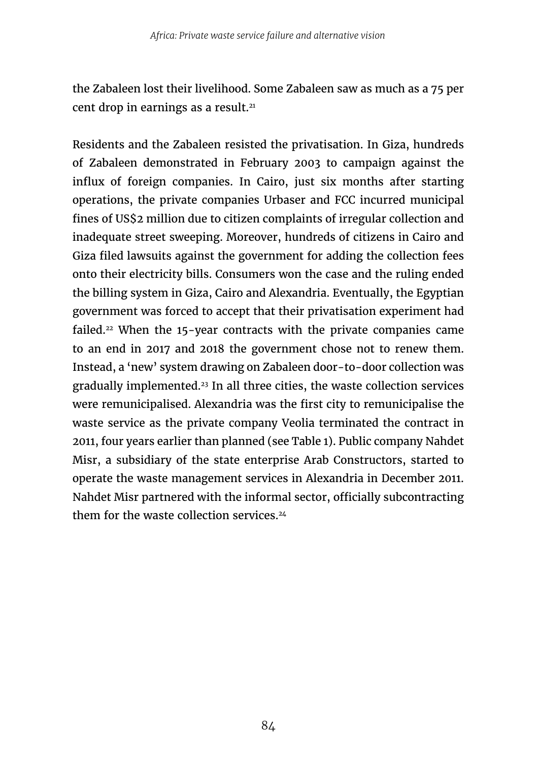the Zabaleen lost their livelihood. Some Zabaleen saw as much as a 75 per cent drop in earnings as a result.<sup>21</sup>

Residents and the Zabaleen resisted the privatisation. In Giza, hundreds of Zabaleen demonstrated in February 2003 to campaign against the influx of foreign companies. In Cairo, just six months after starting operations, the private companies Urbaser and FCC incurred municipal fines of US\$2 million due to citizen complaints of irregular collection and inadequate street sweeping. Moreover, hundreds of citizens in Cairo and Giza filed lawsuits against the government for adding the collection fees onto their electricity bills. Consumers won the case and the ruling ended the billing system in Giza, Cairo and Alexandria. Eventually, the Egyptian government was forced to accept that their privatisation experiment had failed.<sup>22</sup> When the 15-year contracts with the private companies came to an end in 2017 and 2018 the government chose not to renew them. Instead, a 'new' system drawing on Zabaleen door-to-door collection was gradually implemented.23 In all three cities, the waste collection services were remunicipalised. Alexandria was the first city to remunicipalise the waste service as the private company Veolia terminated the contract in 2011, four years earlier than planned (see Table 1). Public company Nahdet Misr, a subsidiary of the state enterprise Arab Constructors, started to operate the waste management services in Alexandria in December 2011. Nahdet Misr partnered with the informal sector, officially subcontracting them for the waste collection services.<sup>24</sup>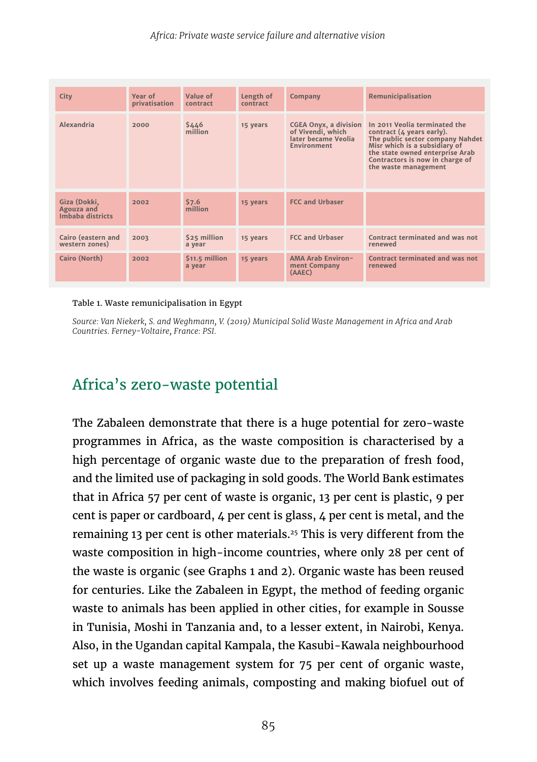| City                                           | Year of<br>privatisation | Value of<br>contract     | Length of<br>contract | Company                                                                                        | Remunicipalisation                                                                                                                                                                                                            |
|------------------------------------------------|--------------------------|--------------------------|-----------------------|------------------------------------------------------------------------------------------------|-------------------------------------------------------------------------------------------------------------------------------------------------------------------------------------------------------------------------------|
| Alexandria                                     | 2000                     | \$446<br>million         | 15 years              | <b>CGEA Onyx, a division</b><br>of Vivendi, which<br>later became Veolia<br><b>Environment</b> | In 2011 Veolia terminated the<br>contract (4 years early).<br>The public sector company Nahdet<br>Misr which is a subsidiary of<br>the state owned enterprise Arab<br>Contractors is now in charge of<br>the waste management |
| Giza (Dokki,<br>Agouza and<br>Imbaba districts | 2002                     | 57.6<br>million          | 15 years              | <b>FCC and Urbaser</b>                                                                         |                                                                                                                                                                                                                               |
| <b>Cairo (eastern and</b><br>western zones)    | 2003                     | \$25 million<br>a year   | 15 years              | <b>FCC and Urbaser</b>                                                                         | Contract terminated and was not<br>renewed                                                                                                                                                                                    |
| Cairo (North)                                  | 2002                     | \$11.5 million<br>a year | 15 years              | <b>AMA Arab Environ-</b><br>ment Company<br>(AAEC)                                             | Contract terminated and was not<br>renewed                                                                                                                                                                                    |

#### Table 1. Waste remunicipalisation in Egypt

*Source: Van Niekerk, S. and Weghmann, V. (2019) Municipal Solid Waste Management in Africa and Arab Countries. Ferney-Voltaire, France: PSI.* 

#### Africa's zero-waste potential

The Zabaleen demonstrate that there is a huge potential for zero-waste programmes in Africa, as the waste composition is characterised by a high percentage of organic waste due to the preparation of fresh food, and the limited use of packaging in sold goods. The World Bank estimates that in Africa 57 per cent of waste is organic, 13 per cent is plastic, 9 per cent is paper or cardboard, 4 per cent is glass, 4 per cent is metal, and the remaining 13 per cent is other materials.25 This is very different from the waste composition in high-income countries, where only 28 per cent of the waste is organic (see Graphs 1 and 2). Organic waste has been reused for centuries. Like the Zabaleen in Egypt, the method of feeding organic waste to animals has been applied in other cities, for example in Sousse in Tunisia, Moshi in Tanzania and, to a lesser extent, in Nairobi, Kenya. Also, in the Ugandan capital Kampala, the Kasubi-Kawala neighbourhood set up a waste management system for 75 per cent of organic waste, which involves feeding animals, composting and making biofuel out of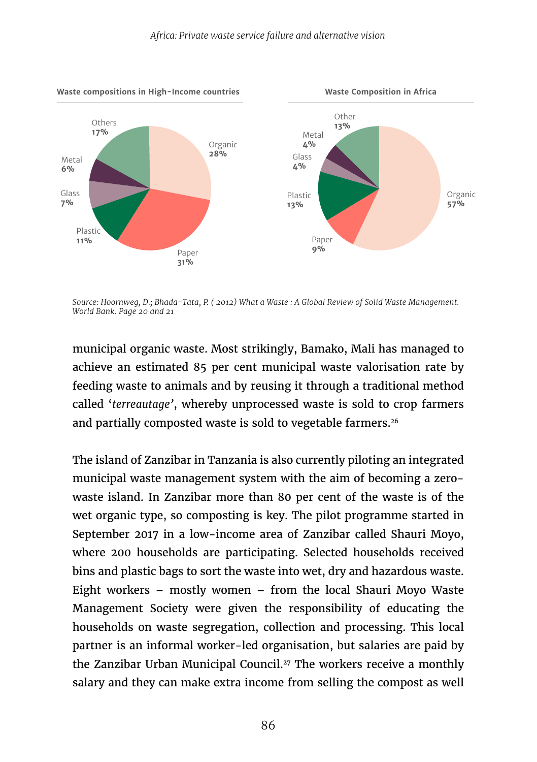

*Source: Hoornweg, D.; Bhada-Tata, P. ( 2012) What a Waste : A Global Review of Solid Waste Management. World Bank. Page 20 and 21*

municipal organic waste. Most strikingly, Bamako, Mali has managed to achieve an estimated 85 per cent municipal waste valorisation rate by feeding waste to animals and by reusing it through a traditional method called '*terreautage'*, whereby unprocessed waste is sold to crop farmers and partially composted waste is sold to vegetable farmers.<sup>26</sup>

The island of Zanzibar in Tanzania is also currently piloting an integrated municipal waste management system with the aim of becoming a zerowaste island. In Zanzibar more than 80 per cent of the waste is of the wet organic type, so composting is key. The pilot programme started in September 2017 in a low-income area of Zanzibar called Shauri Moyo, where 200 households are participating. Selected households received bins and plastic bags to sort the waste into wet, dry and hazardous waste. Eight workers – mostly women – from the local Shauri Moyo Waste Management Society were given the responsibility of educating the households on waste segregation, collection and processing. This local partner is an informal worker-led organisation, but salaries are paid by the Zanzibar Urban Municipal Council.<sup>27</sup> The workers receive a monthly salary and they can make extra income from selling the compost as well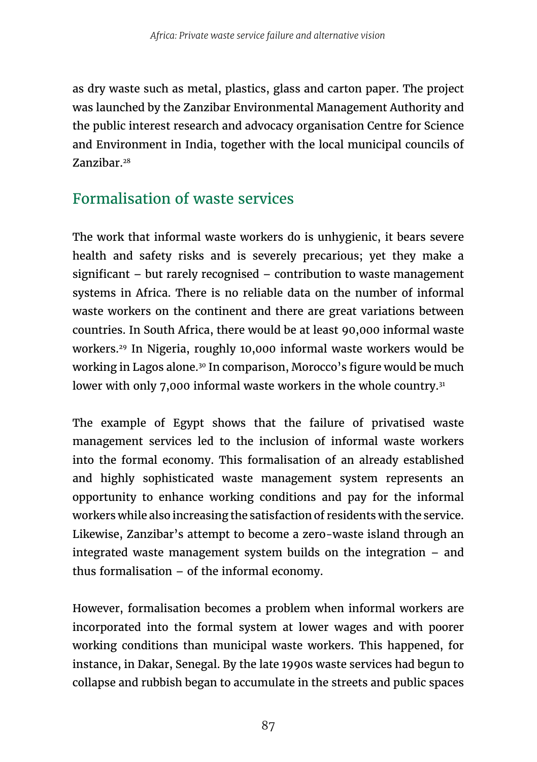as dry waste such as metal, plastics, glass and carton paper. The project was launched by the Zanzibar Environmental Management Authority and the public interest research and advocacy organisation Centre for Science and Environment in India, together with the local municipal councils of Zanzibar.28

## Formalisation of waste services

The work that informal waste workers do is unhygienic, it bears severe health and safety risks and is severely precarious; yet they make a significant – but rarely recognised – contribution to waste management systems in Africa. There is no reliable data on the number of informal waste workers on the continent and there are great variations between countries. In South Africa, there would be at least 90,000 informal waste workers.29 In Nigeria, roughly 10,000 informal waste workers would be working in Lagos alone.<sup>30</sup> In comparison, Morocco's figure would be much lower with only 7,000 informal waste workers in the whole country.<sup>31</sup>

The example of Egypt shows that the failure of privatised waste management services led to the inclusion of informal waste workers into the formal economy. This formalisation of an already established and highly sophisticated waste management system represents an opportunity to enhance working conditions and pay for the informal workers while also increasing the satisfaction of residents with the service. Likewise, Zanzibar's attempt to become a zero-waste island through an integrated waste management system builds on the integration – and thus formalisation – of the informal economy.

However, formalisation becomes a problem when informal workers are incorporated into the formal system at lower wages and with poorer working conditions than municipal waste workers. This happened, for instance, in Dakar, Senegal. By the late 1990s waste services had begun to collapse and rubbish began to accumulate in the streets and public spaces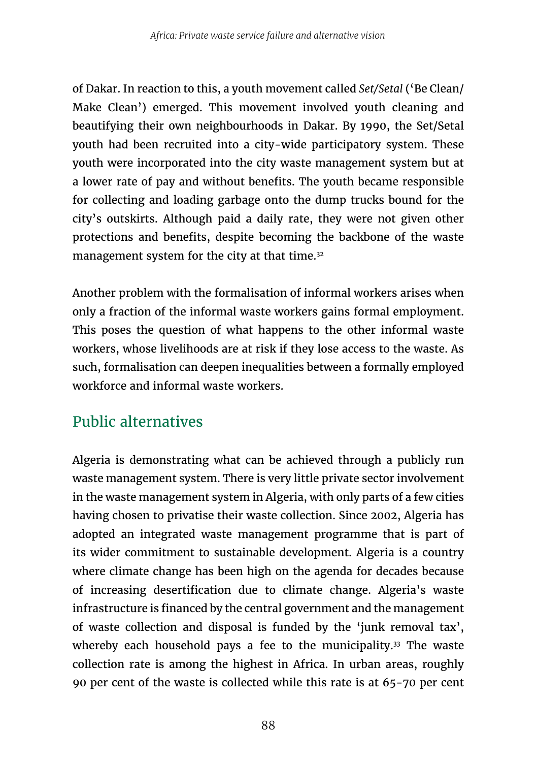of Dakar. In reaction to this, a youth movement called *Set/Setal* ('Be Clean/ Make Clean') emerged. This movement involved youth cleaning and beautifying their own neighbourhoods in Dakar. By 1990, the Set/Setal youth had been recruited into a city-wide participatory system. These youth were incorporated into the city waste management system but at a lower rate of pay and without benefits. The youth became responsible for collecting and loading garbage onto the dump trucks bound for the city's outskirts. Although paid a daily rate, they were not given other protections and benefits, despite becoming the backbone of the waste management system for the city at that time.<sup>32</sup>

Another problem with the formalisation of informal workers arises when only a fraction of the informal waste workers gains formal employment. This poses the question of what happens to the other informal waste workers, whose livelihoods are at risk if they lose access to the waste. As such, formalisation can deepen inequalities between a formally employed workforce and informal waste workers.

## Public alternatives

Algeria is demonstrating what can be achieved through a publicly run waste management system. There is very little private sector involvement in the waste management system in Algeria, with only parts of a few cities having chosen to privatise their waste collection. Since 2002, Algeria has adopted an integrated waste management programme that is part of its wider commitment to sustainable development. Algeria is a country where climate change has been high on the agenda for decades because of increasing desertification due to climate change. Algeria's waste infrastructure is financed by the central government and the management of waste collection and disposal is funded by the 'junk removal tax', whereby each household pays a fee to the municipality.<sup>33</sup> The waste collection rate is among the highest in Africa. In urban areas, roughly 90 per cent of the waste is collected while this rate is at 65-70 per cent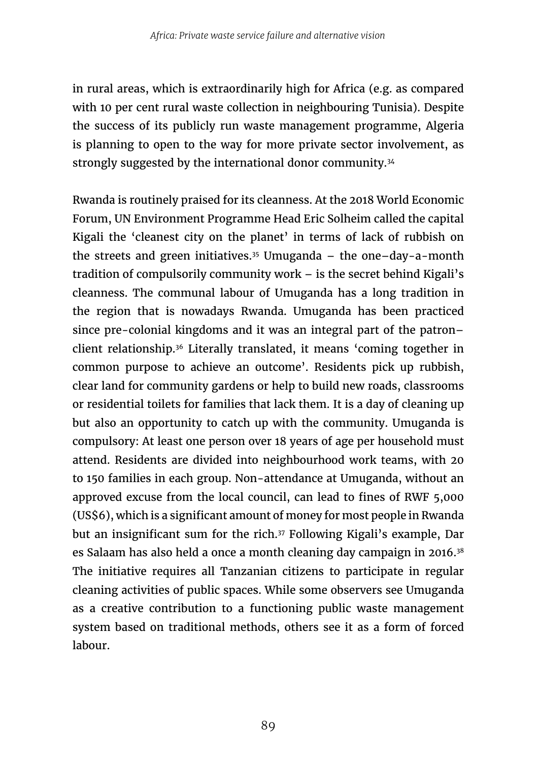in rural areas, which is extraordinarily high for Africa (e.g. as compared with 10 per cent rural waste collection in neighbouring Tunisia). Despite the success of its publicly run waste management programme, Algeria is planning to open to the way for more private sector involvement, as strongly suggested by the international donor community.<sup>34</sup>

Rwanda is routinely praised for its cleanness. At the 2018 World Economic Forum, UN Environment Programme Head Eric Solheim called the capital Kigali the 'cleanest city on the planet' in terms of lack of rubbish on the streets and green initiatives.<sup>35</sup> Umuganda – the one–day-a-month tradition of compulsorily community work – is the secret behind Kigali's cleanness. The communal labour of Umuganda has a long tradition in the region that is nowadays Rwanda. Umuganda has been practiced since pre-colonial kingdoms and it was an integral part of the patron– client relationship.36 Literally translated, it means 'coming together in common purpose to achieve an outcome'. Residents pick up rubbish, clear land for community gardens or help to build new roads, classrooms or residential toilets for families that lack them. It is a day of cleaning up but also an opportunity to catch up with the community. Umuganda is compulsory: At least one person over 18 years of age per household must attend. Residents are divided into neighbourhood work teams, with 20 to 150 families in each group. Non-attendance at Umuganda, without an approved excuse from the local council, can lead to fines of RWF 5,000 (US\$6), which is a significant amount of money for most people in Rwanda but an insignificant sum for the rich.<sup>37</sup> Following Kigali's example, Dar es Salaam has also held a once a month cleaning day campaign in 2016.38 The initiative requires all Tanzanian citizens to participate in regular cleaning activities of public spaces. While some observers see Umuganda as a creative contribution to a functioning public waste management system based on traditional methods, others see it as a form of forced labour.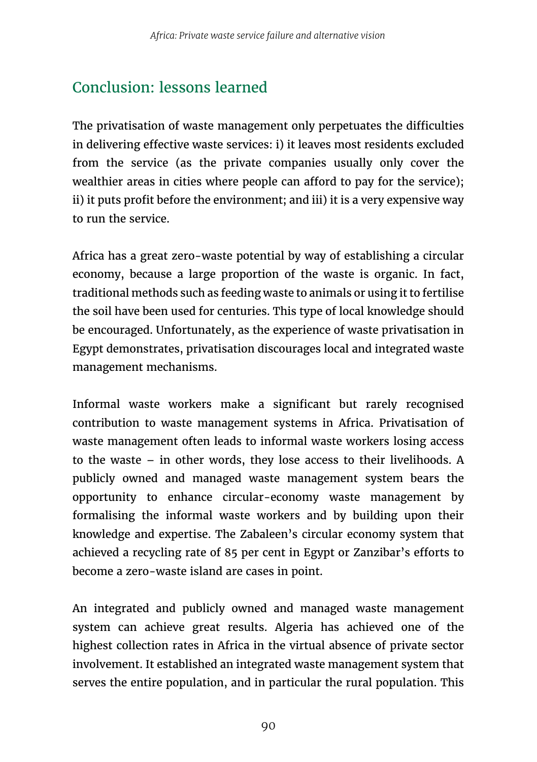# Conclusion: lessons learned

The privatisation of waste management only perpetuates the difficulties in delivering effective waste services: i) it leaves most residents excluded from the service (as the private companies usually only cover the wealthier areas in cities where people can afford to pay for the service); ii) it puts profit before the environment; and iii) it is a very expensive way to run the service.

Africa has a great zero-waste potential by way of establishing a circular economy, because a large proportion of the waste is organic. In fact, traditional methods such as feeding waste to animals or using it to fertilise the soil have been used for centuries. This type of local knowledge should be encouraged. Unfortunately, as the experience of waste privatisation in Egypt demonstrates, privatisation discourages local and integrated waste management mechanisms.

Informal waste workers make a significant but rarely recognised contribution to waste management systems in Africa. Privatisation of waste management often leads to informal waste workers losing access to the waste – in other words, they lose access to their livelihoods. A publicly owned and managed waste management system bears the opportunity to enhance circular-economy waste management by formalising the informal waste workers and by building upon their knowledge and expertise. The Zabaleen's circular economy system that achieved a recycling rate of 85 per cent in Egypt or Zanzibar's efforts to become a zero-waste island are cases in point.

An integrated and publicly owned and managed waste management system can achieve great results. Algeria has achieved one of the highest collection rates in Africa in the virtual absence of private sector involvement. It established an integrated waste management system that serves the entire population, and in particular the rural population. This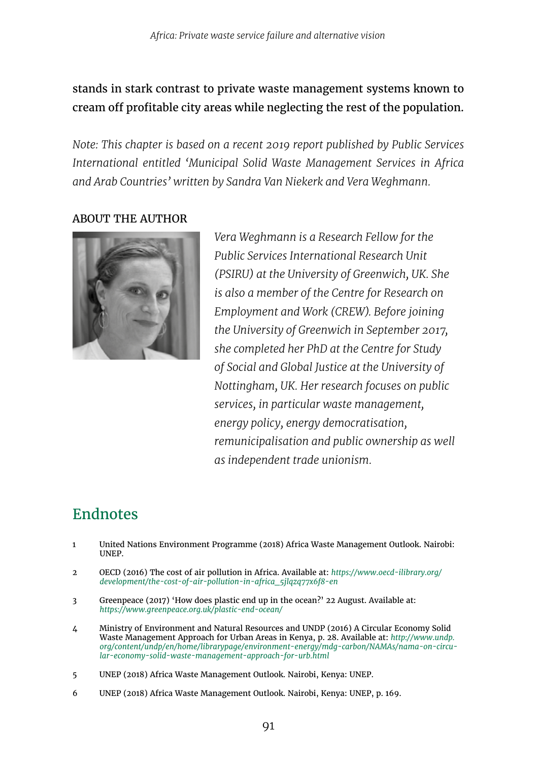#### stands in stark contrast to private waste management systems known to cream off profitable city areas while neglecting the rest of the population.

*Note: This chapter is based on a recent 2019 report published by Public Services International entitled 'Municipal Solid Waste Management Services in Africa and Arab Countries' written by Sandra Van Niekerk and Vera Weghmann.* 

#### ABOUT THE AUTHOR



*Vera Weghmann is a Research Fellow for the Public Services International Research Unit (PSIRU) at the University of Greenwich, UK. She is also a member of the Centre for Research on Employment and Work (CREW). Before joining the University of Greenwich in September 2017, she completed her PhD at the Centre for Study of Social and Global Justice at the University of Nottingham, UK. Her research focuses on public services, in particular waste management, energy policy, energy democratisation, remunicipalisation and public ownership as well as independent trade unionism.* 

#### Endnotes

- 1 United Nations Environment Programme (2018) Africa Waste Management Outlook. Nairobi: UNEP.
- 2 OECD (2016) The cost of air pollution in Africa. Available at: *[https://www.oecd-ilibrary.org/](https://www.oecd-ilibrary.org/development/the-cost-of-air-pollution-in-africa_5jlqzq77x6f8-en) [development/the-cost-of-air-pollution-in-africa\\_5jlqzq77x6f8-en](https://www.oecd-ilibrary.org/development/the-cost-of-air-pollution-in-africa_5jlqzq77x6f8-en)*
- 3 Greenpeace (2017) 'How does plastic end up in the ocean?' 22 August. Available at: *<https://www.greenpeace.org.uk/plastic-end-ocean/>*
- 4 Ministry of Environment and Natural Resources and UNDP (2016) A Circular Economy Solid Waste Management Approach for Urban Areas in Kenya, p. 28. Available at: *[http://www.undp.](http://www.undp.org/content/undp/en/home/librarypage/environment-energy/mdg-carbon/NAMAs/nama-on-circular-economy-solid-waste-management-approach-for-urb.html) [org/content/undp/en/home/librarypage/environment-energy/mdg-carbon/NAMAs/nama-on-circu](http://www.undp.org/content/undp/en/home/librarypage/environment-energy/mdg-carbon/NAMAs/nama-on-circular-economy-solid-waste-management-approach-for-urb.html)[lar-economy-solid-waste-management-approach-for-urb.html](http://www.undp.org/content/undp/en/home/librarypage/environment-energy/mdg-carbon/NAMAs/nama-on-circular-economy-solid-waste-management-approach-for-urb.html)*
- 5 UNEP (2018) Africa Waste Management Outlook. Nairobi, Kenya: UNEP.
- 6 UNEP (2018) Africa Waste Management Outlook. Nairobi, Kenya: UNEP, p. 169.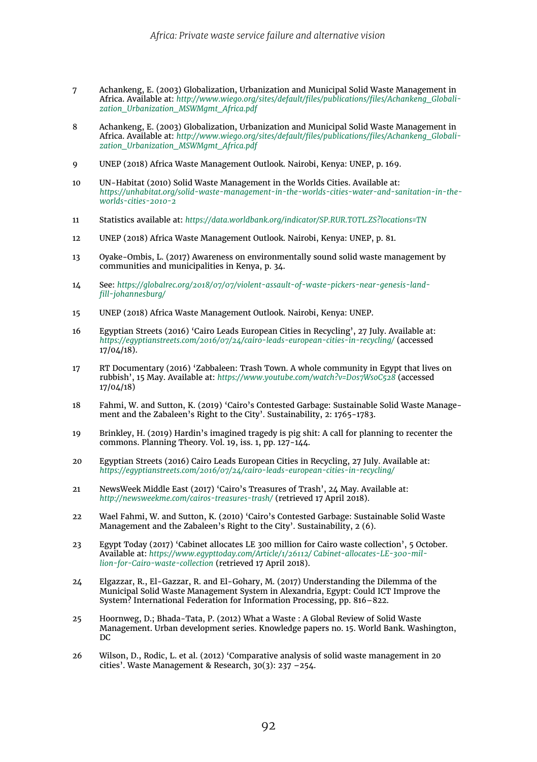- 7 Achankeng, E. (2003) Globalization, Urbanization and Municipal Solid Waste Management in Africa. Available at: *[http://www.wiego.org/sites/default/files/publications/files/Achankeng\\_Globali](https://www.wiego.org/sites/default/files/publications/files/Achankeng_Globalization_Urbanization_MSWMgmt_Africa.pdf)[zation\\_Urbanization\\_MSWMgmt\\_Africa.pdf](https://www.wiego.org/sites/default/files/publications/files/Achankeng_Globalization_Urbanization_MSWMgmt_Africa.pdf)*
- 8 Achankeng, E. (2003) Globalization, Urbanization and Municipal Solid Waste Management in Africa. Available at: *[http://www.wiego.org/sites/default/files/publications/files/Achankeng\\_Globali](https://www.wiego.org/sites/default/files/publications/files/Achankeng_Globalization_Urbanization_MSWMgmt_Africa.pdf)[zation\\_Urbanization\\_MSWMgmt\\_Africa.pdf](https://www.wiego.org/sites/default/files/publications/files/Achankeng_Globalization_Urbanization_MSWMgmt_Africa.pdf)*
- 9 UNEP (2018) Africa Waste Management Outlook. Nairobi, Kenya: UNEP, p. 169.
- 10 UN-Habitat (2010) Solid Waste Management in the Worlds Cities. Available at: *[https://unhabitat.org/solid-waste-management-in-the-worlds-cities-water-and-sanitation-in-the](https://unhabitat.org/solid-waste-management-in-the-worlds-cities-water-and-sanitation-in-the-worlds-cities-2010-2)[worlds-cities-2010-2](https://unhabitat.org/solid-waste-management-in-the-worlds-cities-water-and-sanitation-in-the-worlds-cities-2010-2)*
- 11 Statistics available at: *<https://data.worldbank.org/indicator/SP.RUR.TOTL.ZS?locations=TN>*
- 12 UNEP (2018) Africa Waste Management Outlook. Nairobi, Kenya: UNEP, p. 81.
- 13 Oyake-Ombis, L. (2017) Awareness on environmentally sound solid waste management by communities and municipalities in Kenya, p. 34.
- 14 See: *[https://globalrec.org/2018/07/07/violent-assault-of-waste-pickers-near-genesis-land](https://globalrec.org/2018/07/07/violent-assault-of-waste-pickers-near-genesis-landfill-johannesburg/)[fill-johannesburg/](https://globalrec.org/2018/07/07/violent-assault-of-waste-pickers-near-genesis-landfill-johannesburg/)*
- 15 UNEP (2018) Africa Waste Management Outlook. Nairobi, Kenya: UNEP.
- 16 Egyptian Streets (2016) 'Cairo Leads European Cities in Recycling', 27 July. Available at: *<https://egyptianstreets.com/2016/07/24/cairo-leads-european-cities-in-recycling/>* (accessed  $17/04/18$ ).
- 17 RT Documentary (2016) 'Zabbaleen: Trash Town. A whole community in Egypt that lives on rubbish', 15 May. Available at: *<https://www.youtube.com/watch?v=D0s7WsoC528>* (accessed 17/04/18)
- 18 Fahmi, W. and Sutton, K. (2019) 'Cairo's Contested Garbage: Sustainable Solid Waste Management and the Zabaleen's Right to the City'. Sustainability, 2: 1765-1783.
- 19 Brinkley, H. (2019) Hardin's imagined tragedy is pig shit: A call for planning to recenter the commons. Planning Theory. Vol. 19, iss. 1, pp. 127-144.
- 20 Egyptian Streets (2016) Cairo Leads European Cities in Recycling, 27 July. Available at: *<https://egyptianstreets.com/2016/07/24/cairo-leads-european-cities-in-recycling/>*
- 21 NewsWeek Middle East (2017) 'Cairo's Treasures of Trash', 24 May. Available at: *<http://newsweekme.com/cairos-treasures-trash/>* (retrieved 17 April 2018).
- 22 Wael Fahmi, W. and Sutton, K. (2010) 'Cairo's Contested Garbage: Sustainable Solid Waste Management and the Zabaleen's Right to the City'. Sustainability, 2 (6).
- 23 Egypt Today (2017) 'Cabinet allocates LE 300 million for Cairo waste collection', 5 October. Available at: *[https://www.egypttoday.com/Article/1/26112/ Cabinet-allocates-LE-300-mil](https://www.egypttoday.com/Article/1/26112/Cabinet-allocates-LE-300-million-for-Cairo-waste-collection)[lion-for-Cairo-waste-collection](https://www.egypttoday.com/Article/1/26112/Cabinet-allocates-LE-300-million-for-Cairo-waste-collection)* (retrieved 17 April 2018).
- 24 Elgazzar, R., El-Gazzar, R. and El-Gohary, M. (2017) Understanding the Dilemma of the Municipal Solid Waste Management System in Alexandria, Egypt: Could ICT Improve the System? International Federation for Information Processing, pp. 816–822.
- 25 Hoornweg, D.; Bhada-Tata, P. (2012) What a Waste : A Global Review of Solid Waste Management. Urban development series. Knowledge papers no. 15. World Bank. Washington, DC
- 26 Wilson, D., Rodic, L. et al. (2012) 'Comparative analysis of solid waste management in 20 cities'. Waste Management & Research, 30(3): 237 –254.